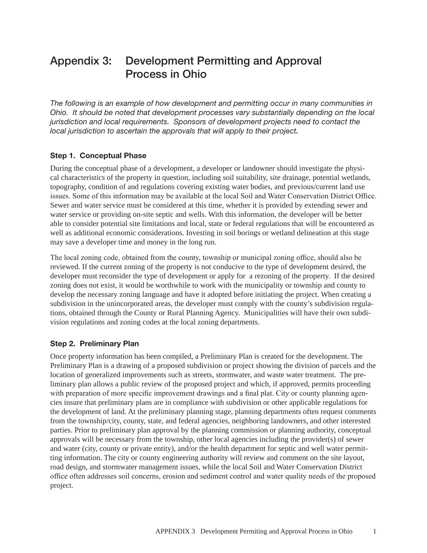# Appendix 3: Development Permitting and Approval Process in Ohio

*The following is an example of how development and permitting occur in many communities in Ohio. It should be noted that development processes vary substantially depending on the local jurisdiction and local requirements. Sponsors of development projects need to contact the local jurisdiction to ascertain the approvals that will apply to their project.* 

### Step 1. Conceptual Phase

During the conceptual phase of a development, a developer or landowner should investigate the physical characteristics of the property in question, including soil suitability, site drainage, potential wetlands, topography, condition of and regulations covering existing water bodies, and previous/current land use issues. Some of this information may be available at the local Soil and Water Conservation District Office. Sewer and water service must be considered at this time, whether it is provided by extending sewer and water service or providing on-site septic and wells. With this information, the developer will be better able to consider potential site limitations and local, state or federal regulations that will be encountered as well as additional economic considerations. Investing in soil borings or wetland delineation at this stage may save a developer time and money in the long run.

The local zoning code, obtained from the county, township or municipal zoning office, should also be reviewed. If the current zoning of the property is not conducive to the type of development desired, the developer must reconsider the type of development or apply for a rezoning of the property. If the desired zoning does not exist, it would be worthwhile to work with the municipality or township and county to develop the necessary zoning language and have it adopted before initiating the project. When creating a subdivision in the unincorporated areas, the developer must comply with the county's subdivision regulations, obtained through the County or Rural Planning Agency. Municipalities will have their own subdivision regulations and zoning codes at the local zoning departments.

### Step 2. Preliminary Plan

Once property information has been compiled, a Preliminary Plan is created for the development. The Preliminary Plan is a drawing of a proposed subdivision or project showing the division of parcels and the location of generalized improvements such as streets, stormwater, and waste water treatment. The preliminary plan allows a public review of the proposed project and which, if approved, permits proceeding with preparation of more specific improvement drawings and a final plat. City or county planning agencies insure that preliminary plans are in compliance with subdivision or other applicable regulations for the development of land. At the preliminary planning stage, planning departments often request comments from the township/city, county, state, and federal agencies, neighboring landowners, and other interested parties. Prior to preliminary plan approval by the planning commission or planning authority, conceptual approvals will be necessary from the township, other local agencies including the provider(s) of sewer and water (city, county or private entity), and/or the health department for septic and well water permitting information. The city or county engineering authority will review and comment on the site layout, road design, and stormwater management issues, while the local Soil and Water Conservation District office often addresses soil concerns, erosion and sediment control and water quality needs of the proposed project.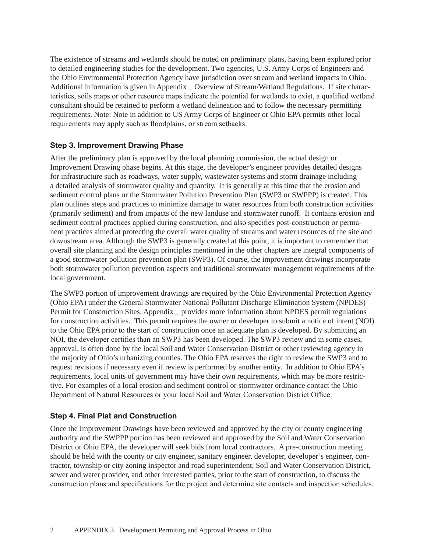The existence of streams and wetlands should be noted on preliminary plans, having been explored prior to detailed engineering studies for the development. Two agencies, U.S. Army Corps of Engineers and the Ohio Environmental Protection Agency have jurisdiction over stream and wetland impacts in Ohio. Additional information is given in Appendix \_ Overview of Stream/Wetland Regulations. If site characteristics, soils maps or other resource maps indicate the potential for wetlands to exist, a qualified wetland consultant should be retained to perform a wetland delineation and to follow the necessary permitting requirements. Note: Note in addition to US Army Corps of Engineer or Ohio EPA permits other local requirements may apply such as floodplains, or stream setbacks.

# Step 3. Improvement Drawing Phase

After the preliminary plan is approved by the local planning commission, the actual design or Improvement Drawing phase begins. At this stage, the developer's engineer provides detailed designs for infrastructure such as roadways, water supply, wastewater systems and storm drainage including a detailed analysis of stormwater quality and quantity. It is generally at this time that the erosion and sediment control plans or the Stormwater Pollution Prevention Plan (SWP3 or SWPPP) is created. This plan outlines steps and practices to minimize damage to water resources from both construction activities (primarily sediment) and from impacts of the new landuse and stormwater runoff. It contains erosion and sediment control practices applied during construction, and also specifies post-construction or permanent practices aimed at protecting the overall water quality of streams and water resources of the site and downstream area. Although the SWP3 is generally created at this point, it is important to remember that overall site planning and the design principles mentioned in the other chapters are integral components of a good stormwater pollution prevention plan (SWP3). Of course, the improvement drawings incorporate both stormwater pollution prevention aspects and traditional stormwater management requirements of the local government.

The SWP3 portion of improvement drawings are required by the Ohio Environmental Protection Agency (Ohio EPA) under the General Stormwater National Pollutant Discharge Elimination System (NPDES) Permit for Construction Sites. Appendix \_ provides more information about NPDES permit regulations for construction activities. This permit requires the owner or developer to submit a notice of intent (NOI) to the Ohio EPA prior to the start of construction once an adequate plan is developed. By submitting an NOI, the developer certifies than an SWP3 has been developed. The SWP3 review and in some cases, approval, is often done by the local Soil and Water Conservation District or other reviewing agency in the majority of Ohio's urbanizing counties. The Ohio EPA reserves the right to review the SWP3 and to request revisions if necessary even if review is performed by another entity. In addition to Ohio EPA's requirements, local units of government may have their own requirements, which may be more restrictive. For examples of a local erosion and sediment control or stormwater ordinance contact the Ohio Department of Natural Resources or your local Soil and Water Conservation District Office.

# Step 4. Final Plat and Construction

Once the Improvement Drawings have been reviewed and approved by the city or county engineering authority and the SWPPP portion has been reviewed and approved by the Soil and Water Conservation District or Ohio EPA, the developer will seek bids from local contractors. A pre-construction meeting should be held with the county or city engineer, sanitary engineer, developer, developer's engineer, contractor, township or city zoning inspector and road superintendent, Soil and Water Conservation District, sewer and water provider, and other interested parties, prior to the start of construction, to discuss the construction plans and specifications for the project and determine site contacts and inspection schedules.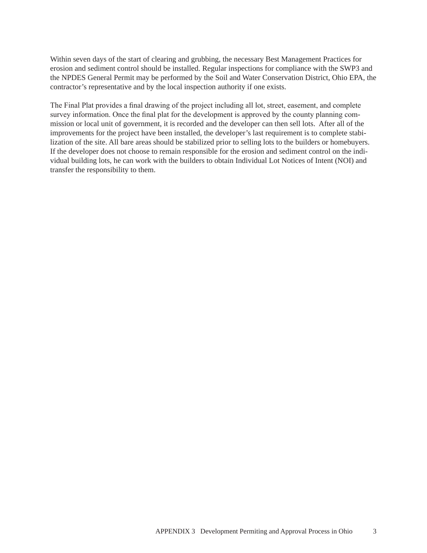Within seven days of the start of clearing and grubbing, the necessary Best Management Practices for erosion and sediment control should be installed. Regular inspections for compliance with the SWP3 and the NPDES General Permit may be performed by the Soil and Water Conservation District, Ohio EPA, the contractor's representative and by the local inspection authority if one exists.

The Final Plat provides a final drawing of the project including all lot, street, easement, and complete survey information. Once the final plat for the development is approved by the county planning commission or local unit of government, it is recorded and the developer can then sell lots. After all of the improvements for the project have been installed, the developer's last requirement is to complete stabilization of the site. All bare areas should be stabilized prior to selling lots to the builders or homebuyers. If the developer does not choose to remain responsible for the erosion and sediment control on the individual building lots, he can work with the builders to obtain Individual Lot Notices of Intent (NOI) and transfer the responsibility to them.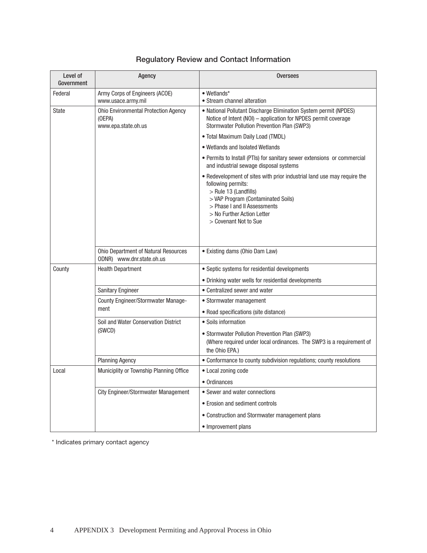# Regulatory Review and Contact Information

| Level of<br>Government | Agency                                                                       | <b>Oversees</b>                                                                                                                                                                                                                                       |
|------------------------|------------------------------------------------------------------------------|-------------------------------------------------------------------------------------------------------------------------------------------------------------------------------------------------------------------------------------------------------|
| Federal                | Army Corps of Engineers (ACOE)<br>www.usace.army.mil                         | • Wetlands*<br>• Stream channel alteration                                                                                                                                                                                                            |
| <b>State</b>           | <b>Ohio Environmental Protection Agency</b><br>(OEPA)<br>www.epa.state.oh.us | • National Pollutant Discharge Elimination System permit (NPDES)<br>Notice of Intent (NOI) – application for NPDES permit coverage<br>Stormwater Pollution Prevention Plan (SWP3)                                                                     |
|                        |                                                                              | • Total Maximum Daily Load (TMDL)                                                                                                                                                                                                                     |
|                        |                                                                              | • Wetlands and Isolated Wetlands                                                                                                                                                                                                                      |
|                        |                                                                              | • Permits to Install (PTIs) for sanitary sewer extensions or commercial<br>and industrial sewage disposal systems                                                                                                                                     |
|                        |                                                                              | • Redevelopment of sites with prior industrial land use may require the<br>following permits:<br>$>$ Rule 13 (Landfills)<br>> VAP Program (Contaminated Soils)<br>> Phase I and II Assessments<br>> No Further Action Letter<br>> Covenant Not to Sue |
|                        | Ohio Department of Natural Resources<br>ODNR) www.dnr.state.oh.us            | • Existing dams (Ohio Dam Law)                                                                                                                                                                                                                        |
| County                 | <b>Health Department</b>                                                     | • Septic systems for residential developments                                                                                                                                                                                                         |
|                        |                                                                              | • Drinking water wells for residential developments                                                                                                                                                                                                   |
|                        | Sanitary Engineer                                                            | • Centralized sewer and water                                                                                                                                                                                                                         |
|                        | County Engineer/Stormwater Manage-<br>ment                                   | • Stormwater management                                                                                                                                                                                                                               |
|                        |                                                                              | • Road specifications (site distance)                                                                                                                                                                                                                 |
|                        | Soil and Water Conservation District                                         | • Soils information                                                                                                                                                                                                                                   |
|                        | (SWCD)                                                                       | • Stormwater Pollution Prevention Plan (SWP3)<br>(Where required under local ordinances. The SWP3 is a requirement of<br>the Ohio EPA.)                                                                                                               |
|                        | <b>Planning Agency</b>                                                       | • Conformance to county subdivision regulations; county resolutions                                                                                                                                                                                   |
| Local                  | Municiplity or Township Planning Office                                      | • Local zoning code                                                                                                                                                                                                                                   |
|                        |                                                                              | • Ordinances                                                                                                                                                                                                                                          |
|                        | <b>City Engineer/Stormwater Management</b>                                   | • Sewer and water connections                                                                                                                                                                                                                         |
|                        |                                                                              | • Erosion and sediment controls                                                                                                                                                                                                                       |
|                        |                                                                              | • Construction and Stormwater management plans                                                                                                                                                                                                        |
|                        |                                                                              | • Improvement plans                                                                                                                                                                                                                                   |

\* Indicates primary contact agency